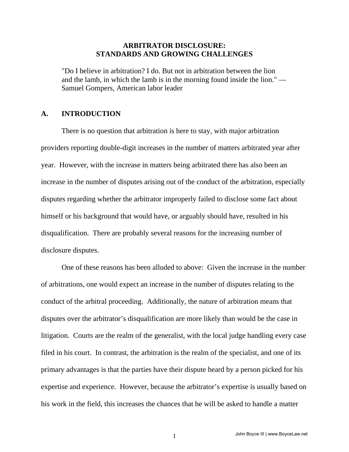## **ARBITRATOR DISCLOSURE: STANDARDS AND GROWING CHALLENGES**

"Do I believe in arbitration? I do. But not in arbitration between the lion and the lamb, in which the lamb is in the morning found inside the lion." — Samuel Gompers, American labor leader

# **A. INTRODUCTION**

 There is no question that arbitration is here to stay, with major arbitration providers reporting double-digit increases in the number of matters arbitrated year after year. However, with the increase in matters being arbitrated there has also been an increase in the number of disputes arising out of the conduct of the arbitration, especially disputes regarding whether the arbitrator improperly failed to disclose some fact about himself or his background that would have, or arguably should have, resulted in his disqualification. There are probably several reasons for the increasing number of disclosure disputes.

 One of these reasons has been alluded to above: Given the increase in the number of arbitrations, one would expect an increase in the number of disputes relating to the conduct of the arbitral proceeding. Additionally, the nature of arbitration means that disputes over the arbitrator's disqualification are more likely than would be the case in litigation. Courts are the realm of the generalist, with the local judge handling every case filed in his court. In contrast, the arbitration is the realm of the specialist, and one of its primary advantages is that the parties have their dispute heard by a person picked for his expertise and experience. However, because the arbitrator's expertise is usually based on his work in the field, this increases the chances that he will be asked to handle a matter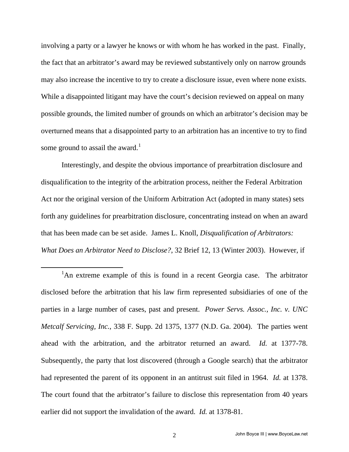involving a party or a lawyer he knows or with whom he has worked in the past. Finally, the fact that an arbitrator's award may be reviewed substantively only on narrow grounds may also increase the incentive to try to create a disclosure issue, even where none exists. While a disappointed litigant may have the court's decision reviewed on appeal on many possible grounds, the limited number of grounds on which an arbitrator's decision may be overturned means that a disappointed party to an arbitration has an incentive to try to find some ground to assail the award.<sup>[1](#page-1-0)</sup>

 Interestingly, and despite the obvious importance of prearbitration disclosure and disqualification to the integrity of the arbitration process, neither the Federal Arbitration Act nor the original version of the Uniform Arbitration Act (adopted in many states) sets forth any guidelines for prearbitration disclosure, concentrating instead on when an award that has been made can be set aside. James L. Knoll, *Disqualification of Arbitrators: What Does an Arbitrator Need to Disclose?*, 32 Brief 12, 13 (Winter 2003). However, if

<span id="page-1-0"></span> $\overline{\phantom{a}}$ <sup>1</sup>An extreme example of this is found in a recent Georgia case. The arbitrator disclosed before the arbitration that his law firm represented subsidiaries of one of the parties in a large number of cases, past and present. *Power Servs. Assoc., Inc. v. UNC Metcalf Servicing, Inc.*, 338 F. Supp. 2d 1375, 1377 (N.D. Ga. 2004). The parties went ahead with the arbitration, and the arbitrator returned an award. *Id.* at 1377-78. Subsequently, the party that lost discovered (through a Google search) that the arbitrator had represented the parent of its opponent in an antitrust suit filed in 1964. *Id.* at 1378. The court found that the arbitrator's failure to disclose this representation from 40 years earlier did not support the invalidation of the award. *Id.* at 1378-81.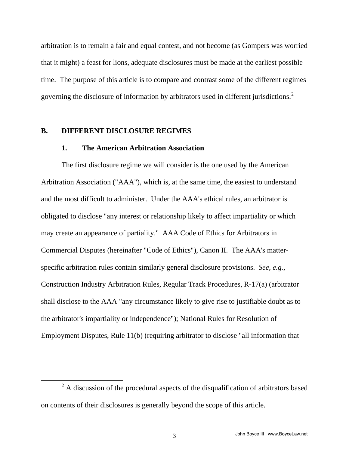arbitration is to remain a fair and equal contest, and not become (as Gompers was worried that it might) a feast for lions, adequate disclosures must be made at the earliest possible time. The purpose of this article is to compare and contrast some of the different regimes governing the disclosure of information by arbitrators used in different jurisdictions.<sup>[2](#page-2-0)</sup>

## **B. DIFFERENT DISCLOSURE REGIMES**

# **1. The American Arbitration Association**

 The first disclosure regime we will consider is the one used by the American Arbitration Association ("AAA"), which is, at the same time, the easiest to understand and the most difficult to administer. Under the AAA's ethical rules, an arbitrator is obligated to disclose "any interest or relationship likely to affect impartiality or which may create an appearance of partiality." AAA Code of Ethics for Arbitrators in Commercial Disputes (hereinafter "Code of Ethics"), Canon II. The AAA's matterspecific arbitration rules contain similarly general disclosure provisions. *See, e.g.*, Construction Industry Arbitration Rules, Regular Track Procedures, R-17(a) (arbitrator shall disclose to the AAA "any circumstance likely to give rise to justifiable doubt as to the arbitrator's impartiality or independence"); National Rules for Resolution of Employment Disputes, Rule 11(b) (requiring arbitrator to disclose "all information that

<span id="page-2-0"></span> <sup>2</sup>  $2$  A discussion of the procedural aspects of the disqualification of arbitrators based on contents of their disclosures is generally beyond the scope of this article.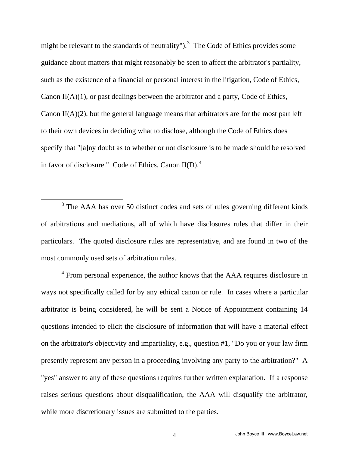might be relevant to the standards of neutrality").<sup>[3](#page-3-0)</sup> The Code of Ethics provides some guidance about matters that might reasonably be seen to affect the arbitrator's partiality, such as the existence of a financial or personal interest in the litigation, Code of Ethics, Canon II(A)(1), or past dealings between the arbitrator and a party, Code of Ethics, Canon II(A)(2), but the general language means that arbitrators are for the most part left to their own devices in deciding what to disclose, although the Code of Ethics does specify that "[a]ny doubt as to whether or not disclosure is to be made should be resolved in favor of disclosure." Code of Ethics, Canon  $II(D)$ .<sup>[4](#page-3-1)</sup>

<span id="page-3-1"></span><sup>4</sup> From personal experience, the author knows that the AAA requires disclosure in ways not specifically called for by any ethical canon or rule. In cases where a particular arbitrator is being considered, he will be sent a Notice of Appointment containing 14 questions intended to elicit the disclosure of information that will have a material effect on the arbitrator's objectivity and impartiality, e.g., question #1, "Do you or your law firm presently represent any person in a proceeding involving any party to the arbitration?" A "yes" answer to any of these questions requires further written explanation. If a response raises serious questions about disqualification, the AAA will disqualify the arbitrator, while more discretionary issues are submitted to the parties.

<span id="page-3-0"></span> $\frac{1}{3}$ <sup>3</sup> The AAA has over 50 distinct codes and sets of rules governing different kinds of arbitrations and mediations, all of which have disclosures rules that differ in their particulars. The quoted disclosure rules are representative, and are found in two of the most commonly used sets of arbitration rules.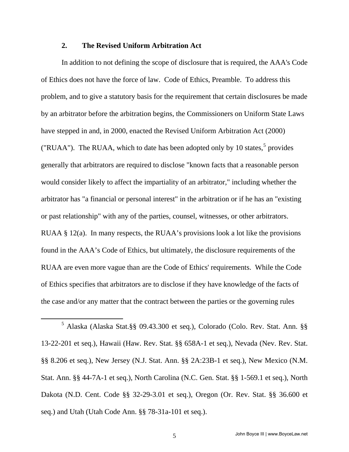# **2. The Revised Uniform Arbitration Act**

 In addition to not defining the scope of disclosure that is required, the AAA's Code of Ethics does not have the force of law. Code of Ethics, Preamble. To address this problem, and to give a statutory basis for the requirement that certain disclosures be made by an arbitrator before the arbitration begins, the Commissioners on Uniform State Laws have stepped in and, in 2000, enacted the Revised Uniform Arbitration Act (2000) ("RUAA"). The RUAA, which to date has been adopted only by 10 states, $5$  provides generally that arbitrators are required to disclose "known facts that a reasonable person would consider likely to affect the impartiality of an arbitrator," including whether the arbitrator has "a financial or personal interest" in the arbitration or if he has an "existing or past relationship" with any of the parties, counsel, witnesses, or other arbitrators. RUAA § 12(a). In many respects, the RUAA's provisions look a lot like the provisions found in the AAA's Code of Ethics, but ultimately, the disclosure requirements of the RUAA are even more vague than are the Code of Ethics' requirements. While the Code of Ethics specifies that arbitrators are to disclose if they have knowledge of the facts of the case and/or any matter that the contract between the parties or the governing rules

<span id="page-4-0"></span> $rac{1}{5}$  Alaska (Alaska Stat.§§ 09.43.300 et seq.), Colorado (Colo. Rev. Stat. Ann. §§ 13-22-201 et seq.), Hawaii (Haw. Rev. Stat. §§ 658A-1 et seq.), Nevada (Nev. Rev. Stat. §§ 8.206 et seq.), New Jersey (N.J. Stat. Ann. §§ 2A:23B-1 et seq.), New Mexico (N.M. Stat. Ann. §§ 44-7A-1 et seq.), North Carolina (N.C. Gen. Stat. §§ 1-569.1 et seq.), North Dakota (N.D. Cent. Code §§ 32-29-3.01 et seq.), Oregon (Or. Rev. Stat. §§ 36.600 et seq.) and Utah (Utah Code Ann. §§ 78-31a-101 et seq.).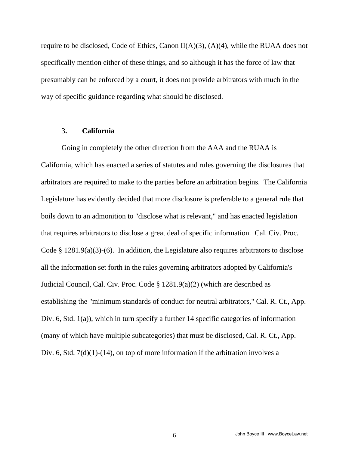require to be disclosed, Code of Ethics, Canon  $II(A)(3)$ ,  $(A)(4)$ , while the RUAA does not specifically mention either of these things, and so although it has the force of law that presumably can be enforced by a court, it does not provide arbitrators with much in the way of specific guidance regarding what should be disclosed.

#### 3**. California**

 Going in completely the other direction from the AAA and the RUAA is California, which has enacted a series of statutes and rules governing the disclosures that arbitrators are required to make to the parties before an arbitration begins. The California Legislature has evidently decided that more disclosure is preferable to a general rule that boils down to an admonition to "disclose what is relevant," and has enacted legislation that requires arbitrators to disclose a great deal of specific information. Cal. Civ. Proc. Code § 1281.9(a)(3)-(6). In addition, the Legislature also requires arbitrators to disclose all the information set forth in the rules governing arbitrators adopted by California's Judicial Council, Cal. Civ. Proc. Code § 1281.9(a)(2) (which are described as establishing the "minimum standards of conduct for neutral arbitrators," Cal. R. Ct., App. Div. 6, Std. 1(a)), which in turn specify a further 14 specific categories of information (many of which have multiple subcategories) that must be disclosed, Cal. R. Ct., App. Div. 6, Std. 7(d)(1)-(14), on top of more information if the arbitration involves a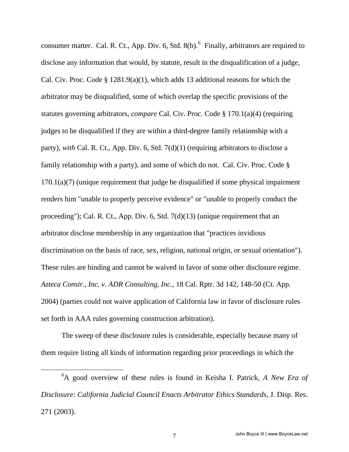consumer matter. Cal. R. Ct., App. Div. [6](#page-6-0), Std.  $8(b)$ . Finally, arbitrators are required to disclose any information that would, by statute, result in the disqualification of a judge, Cal. Civ. Proc. Code § 1281.9(a)(1), which adds 13 additional reasons for which the arbitrator may be disqualified, some of which overlap the specific provisions of the statutes governing arbitrators, *compare* Cal. Civ. Proc. Code § 170.1(a)(4) (requiring judges to be disqualified if they are within a third-degree family relationship with a party), *with* Cal. R. Ct., App. Div. 6, Std. 7(d)(1) (requiring arbitrators to disclose a family relationship with a party), and some of which do not. Cal. Civ. Proc. Code § 170.1(a)(7) (unique requirement that judge be disqualified if some physical impairment renders him "unable to properly perceive evidence" or "unable to properly conduct the proceeding"); Cal. R. Ct., App. Div. 6, Std. 7(d)(13) (unique requirement that an arbitrator disclose membership in any organization that "practices invidious discrimination on the basis of race, sex, religion, national origin, or sexual orientation"). These rules are binding and cannot be waived in favor of some other disclosure regime. *Azteca Constr., Inc. v. ADR Consulting, Inc.*, 18 Cal. Rptr. 3d 142, 148-50 (Ct. App. 2004) (parties could not waive application of California law in favor of disclosure rules set forth in AAA rules governing construction arbitration).

 The sweep of these disclosure rules is considerable, especially because many of them require listing all kinds of information regarding prior proceedings in which the

<span id="page-6-0"></span> 6 A good overview of these rules is found in Keisha I. Patrick, *A New Era of Disclosure: California Judicial Council Enacts Arbitrator Ethics Standards*, J. Disp. Res. 271 (2003).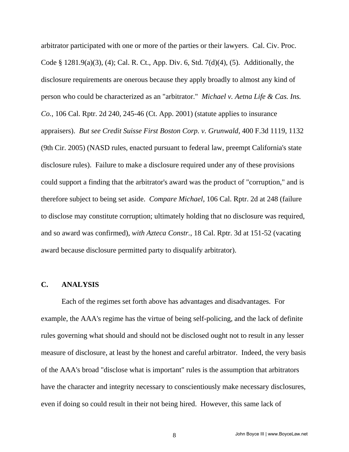arbitrator participated with one or more of the parties or their lawyers. Cal. Civ. Proc. Code § 1281.9(a)(3), (4); Cal. R. Ct., App. Div. 6, Std. 7(d)(4), (5). Additionally, the disclosure requirements are onerous because they apply broadly to almost any kind of person who could be characterized as an "arbitrator." *Michael v. Aetna Life & Cas. Ins. Co.*, 106 Cal. Rptr. 2d 240, 245-46 (Ct. App. 2001) (statute applies to insurance appraisers). *But see Credit Suisse First Boston Corp. v. Grunwald*, 400 F.3d 1119, 1132 (9th Cir. 2005) (NASD rules, enacted pursuant to federal law, preempt California's state disclosure rules). Failure to make a disclosure required under any of these provisions could support a finding that the arbitrator's award was the product of "corruption," and is therefore subject to being set aside. *Compare Michael*, 106 Cal. Rptr. 2d at 248 (failure to disclose may constitute corruption; ultimately holding that no disclosure was required, and so award was confirmed), *with Azteca Constr.*, 18 Cal. Rptr. 3d at 151-52 (vacating award because disclosure permitted party to disqualify arbitrator).

#### **C. ANALYSIS**

 Each of the regimes set forth above has advantages and disadvantages. For example, the AAA's regime has the virtue of being self-policing, and the lack of definite rules governing what should and should not be disclosed ought not to result in any lesser measure of disclosure, at least by the honest and careful arbitrator. Indeed, the very basis of the AAA's broad "disclose what is important" rules is the assumption that arbitrators have the character and integrity necessary to conscientiously make necessary disclosures, even if doing so could result in their not being hired. However, this same lack of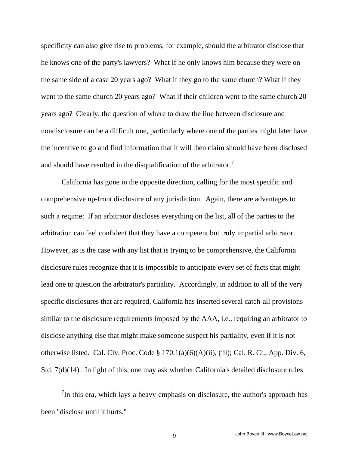specificity can also give rise to problems; for example, should the arbitrator disclose that he knows one of the party's lawyers? What if he only knows him because they were on the same side of a case 20 years ago? What if they go to the same church? What if they went to the same church 20 years ago? What if their children went to the same church 20 years ago? Clearly, the question of where to draw the line between disclosure and nondisclosure can be a difficult one, particularly where one of the parties might later have the incentive to go and find information that it will then claim should have been disclosed and should have resulted in the disqualification of the arbitrator.<sup>[7](#page-8-0)</sup>

 California has gone in the opposite direction, calling for the most specific and comprehensive up-front disclosure of any jurisdiction. Again, there are advantages to such a regime: If an arbitrator discloses everything on the list, all of the parties to the arbitration can feel confident that they have a competent but truly impartial arbitrator. However, as is the case with any list that is trying to be comprehensive, the California disclosure rules recognize that it is impossible to anticipate every set of facts that might lead one to question the arbitrator's partiality. Accordingly, in addition to all of the very specific disclosures that are required, California has inserted several catch-all provisions similar to the disclosure requirements imposed by the AAA, i.e., requiring an arbitrator to disclose anything else that might make someone suspect his partiality, even if it is not otherwise listed. Cal. Civ. Proc. Code  $\S 170.1(a)(6)(A)(ii)$ , (iii); Cal. R. Ct., App. Div. 6, Std. 7(d)(14) . In light of this, one may ask whether California's detailed disclosure rules

<span id="page-8-0"></span> $\frac{1}{7}$ In this era, which lays a heavy emphasis on disclosure, the author's approach has been "disclose until it hurts."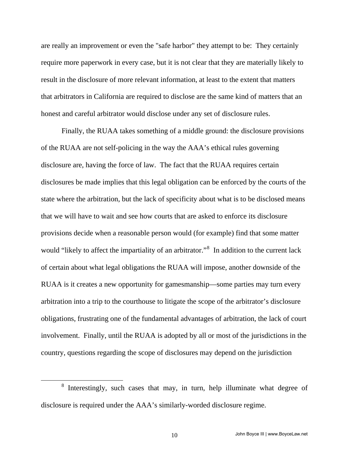are really an improvement or even the "safe harbor" they attempt to be: They certainly require more paperwork in every case, but it is not clear that they are materially likely to result in the disclosure of more relevant information, at least to the extent that matters that arbitrators in California are required to disclose are the same kind of matters that an honest and careful arbitrator would disclose under any set of disclosure rules.

 Finally, the RUAA takes something of a middle ground: the disclosure provisions of the RUAA are not self-policing in the way the AAA's ethical rules governing disclosure are, having the force of law. The fact that the RUAA requires certain disclosures be made implies that this legal obligation can be enforced by the courts of the state where the arbitration, but the lack of specificity about what is to be disclosed means that we will have to wait and see how courts that are asked to enforce its disclosure provisions decide when a reasonable person would (for example) find that some matter would "likely to affect the impartiality of an arbitrator."<sup>[8](#page-9-0)</sup> In addition to the current lack of certain about what legal obligations the RUAA will impose, another downside of the RUAA is it creates a new opportunity for gamesmanship—some parties may turn every arbitration into a trip to the courthouse to litigate the scope of the arbitrator's disclosure obligations, frustrating one of the fundamental advantages of arbitration, the lack of court involvement. Finally, until the RUAA is adopted by all or most of the jurisdictions in the country, questions regarding the scope of disclosures may depend on the jurisdiction

<span id="page-9-0"></span> <sup>8</sup>  $8$  Interestingly, such cases that may, in turn, help illuminate what degree of disclosure is required under the AAA's similarly-worded disclosure regime.